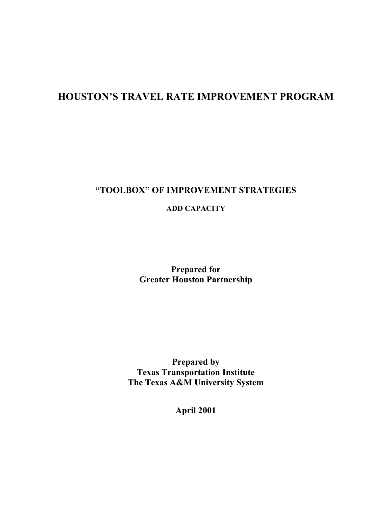## **HOUSTON'S TRAVEL RATE IMPROVEMENT PROGRAM**

### **"TOOLBOX" OF IMPROVEMENT STRATEGIES**

**ADD CAPACITY** 

**Prepared for Greater Houston Partnership** 

**Prepared by Texas Transportation Institute The Texas A&M University System** 

**April 2001**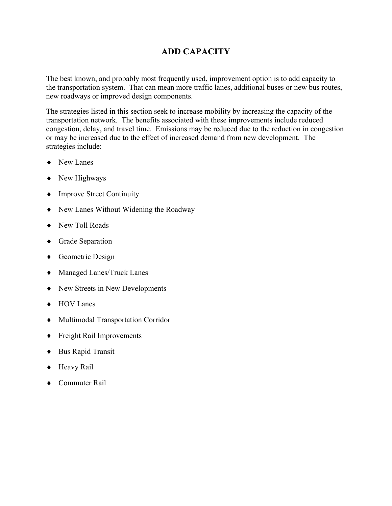### **ADD CAPACITY**

The best known, and probably most frequently used, improvement option is to add capacity to the transportation system. That can mean more traffic lanes, additional buses or new bus routes, new roadways or improved design components.

The strategies listed in this section seek to increase mobility by increasing the capacity of the transportation network. The benefits associated with these improvements include reduced congestion, delay, and travel time. Emissions may be reduced due to the reduction in congestion or may be increased due to the effect of increased demand from new development. The strategies include:

- ♦ New Lanes
- ♦ New Highways
- ♦ Improve Street Continuity
- ♦ New Lanes Without Widening the Roadway
- ♦ New Toll Roads
- ♦ Grade Separation
- ♦ Geometric Design
- ♦ Managed Lanes/Truck Lanes
- ♦ New Streets in New Developments
- ♦ HOV Lanes
- ♦ Multimodal Transportation Corridor
- ♦ Freight Rail Improvements
- ♦ Bus Rapid Transit
- ♦ Heavy Rail
- ♦ Commuter Rail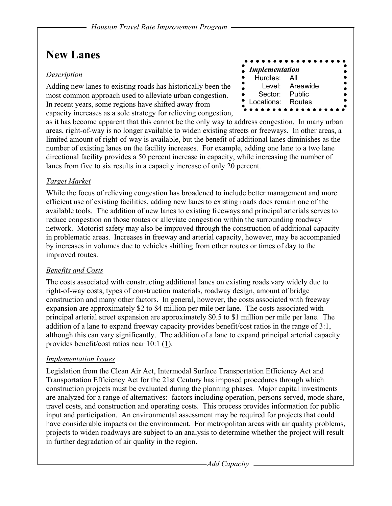## **New Lanes**

#### *Description*

Adding new lanes to existing roads has historically been the most common approach used to alleviate urban congestion. In recent years, some regions have shifted away from capacity increases as a sole strategy for relieving congestion,



as it has become apparent that this cannot be the only way to address congestion. In many urban areas, right-of-way is no longer available to widen existing streets or freeways. In other areas, a limited amount of right-of-way is available, but the benefit of additional lanes diminishes as the number of existing lanes on the facility increases. For example, adding one lane to a two lane directional facility provides a 50 percent increase in capacity, while increasing the number of lanes from five to six results in a capacity increase of only 20 percent.

### *Target Market*

While the focus of relieving congestion has broadened to include better management and more efficient use of existing facilities, adding new lanes to existing roads does remain one of the available tools. The addition of new lanes to existing freeways and principal arterials serves to reduce congestion on those routes or alleviate congestion within the surrounding roadway network. Motorist safety may also be improved through the construction of additional capacity in problematic areas. Increases in freeway and arterial capacity, however, may be accompanied by increases in volumes due to vehicles shifting from other routes or times of day to the improved routes.

### *Benefits and Costs*

The costs associated with constructing additional lanes on existing roads vary widely due to right-of-way costs, types of construction materials, roadway design, amount of bridge construction and many other factors. In general, however, the costs associated with freeway expansion are approximately \$2 to \$4 million per mile per lane. The costs associated with principal arterial street expansion are approximately \$0.5 to \$1 million per mile per lane. The addition of a lane to expand freeway capacity provides benefit/cost ratios in the range of 3:1, although this can vary significantly. The addition of a lane to expand principal arterial capacity provides benefit/cost ratios near 10:1 (1).

### *Implementation Issues*

Legislation from the Clean Air Act, Intermodal Surface Transportation Efficiency Act and Transportation Efficiency Act for the 21st Century has imposed procedures through which construction projects must be evaluated during the planning phases. Major capital investments are analyzed for a range of alternatives: factors including operation, persons served, mode share, travel costs, and construction and operating costs. This process provides information for public input and participation. An environmental assessment may be required for projects that could have considerable impacts on the environment. For metropolitan areas with air quality problems, projects to widen roadways are subject to an analysis to determine whether the project will result in further degradation of air quality in the region.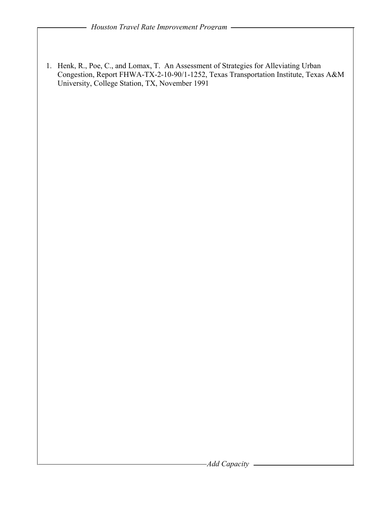1. Henk, R., Poe, C., and Lomax, T. An Assessment of Strategies for Alleviating Urban Congestion, Report FHWA-TX-2-10-90/1-1252, Texas Transportation Institute, Texas A&M University, College Station, TX, November 1991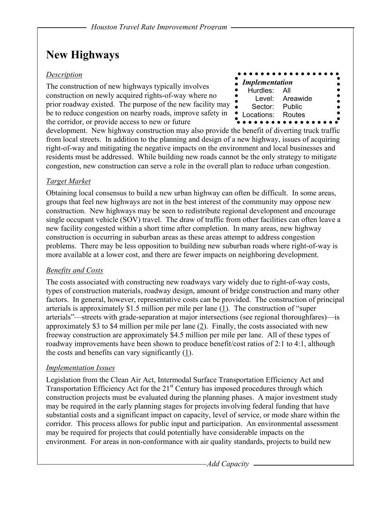## **New Highways**

#### *Description*

The construction of new highways typically involves construction on newly acquired rights-of-way where no prior roadway existed. The purpose of the new facility may be to reduce congestion on nearby roads, improve safety in the corridor, or provide access to new or future

|                               | .               |
|-------------------------------|-----------------|
| $\blacksquare$ Implementation |                 |
| Hurdles: All                  |                 |
|                               | Level: Areawide |
| Sector: Public                |                 |
| Locations: Routes             |                 |
|                               |                 |

development. New highway construction may also provide the benefit of diverting truck traffic from local streets. In addition to the planning and design of a new highway, issues of acquiring right-of-way and mitigating the negative impacts on the environment and local businesses and residents must be addressed. While building new roads cannot be the only strategy to mitigate congestion, new construction can serve a role in the overall plan to reduce urban congestion.

### *Target Market*

Obtaining local consensus to build a new urban highway can often be difficult. In some areas, groups that feel new highways are not in the best interest of the community may oppose new construction. New highways may be seen to redistribute regional development and encourage single occupant vehicle (SOV) travel. The draw of traffic from other facilities can often leave a new facility congested within a short time after completion. In many areas, new highway construction is occurring in suburban areas as these areas attempt to address congestion problems. There may be less opposition to building new suburban roads where right-of-way is more available at a lower cost, and there are fewer impacts on neighboring development.

### *Benefits and Costs*

The costs associated with constructing new roadways vary widely due to right-of-way costs, types of construction materials, roadway design, amount of bridge construction and many other factors. In general, however, representative costs can be provided. The construction of principal arterials is approximately \$1.5 million per mile per lane  $(1)$ . The construction of "super arterials"—streets with grade-separation at major intersections (see regional thoroughfares)—is approximately \$3 to \$4 million per mile per lane  $(2)$ . Finally, the costs associated with new freeway construction are approximately \$4.5 million per mile per lane. All of these types of roadway improvements have been shown to produce benefit/cost ratios of 2:1 to 4:1, although the costs and benefits can vary significantly (1).

#### *Implementation Issues*

Legislation from the Clean Air Act, Intermodal Surface Transportation Efficiency Act and Transportation Efficiency Act for the  $21<sup>st</sup>$  Century has imposed procedures through which construction projects must be evaluated during the planning phases. A major investment study may be required in the early planning stages for projects involving federal funding that have substantial costs and a significant impact on capacity, level of service, or mode share within the corridor. This process allows for public input and participation. An environmental assessment may be required for projects that could potentially have considerable impacts on the environment. For areas in non-conformance with air quality standards, projects to build new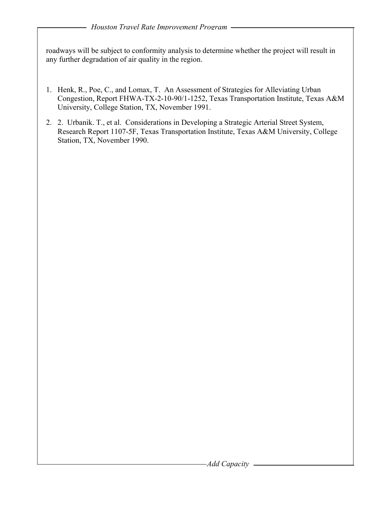roadways will be subject to conformity analysis to determine whether the project will result in any further degradation of air quality in the region.

- 1. Henk, R., Poe, C., and Lomax, T. An Assessment of Strategies for Alleviating Urban Congestion, Report FHWA-TX-2-10-90/1-1252, Texas Transportation Institute, Texas A&M University, College Station, TX, November 1991.
- 2. 2. Urbanik. T., et al. Considerations in Developing a Strategic Arterial Street System, Research Report 1107-5F, Texas Transportation Institute, Texas A&M University, College Station, TX, November 1990.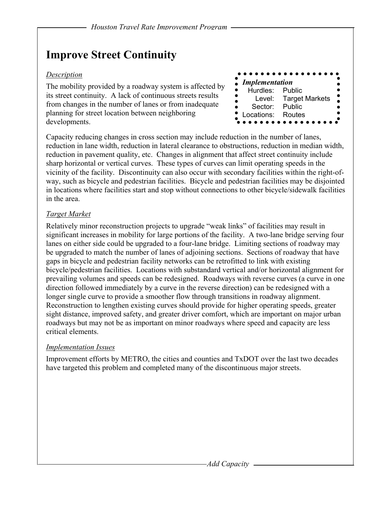## **Improve Street Continuity**

#### *Description*

The mobility provided by a roadway system is affected by its street continuity. A lack of continuous streets results from changes in the number of lanes or from inadequate planning for street location between neighboring developments.

Capacity reducing changes in cross section may include reduction in the number of lanes, reduction in lane width, reduction in lateral clearance to obstructions, reduction in median width, reduction in pavement quality, etc. Changes in alignment that affect street continuity include sharp horizontal or vertical curves. These types of curves can limit operating speeds in the vicinity of the facility. Discontinuity can also occur with secondary facilities within the right-ofway, such as bicycle and pedestrian facilities. Bicycle and pedestrian facilities may be disjointed in locations where facilities start and stop without connections to other bicycle/sidewalk facilities in the area.

### *Target Market*

Relatively minor reconstruction projects to upgrade "weak links" of facilities may result in significant increases in mobility for large portions of the facility. A two-lane bridge serving four lanes on either side could be upgraded to a four-lane bridge. Limiting sections of roadway may be upgraded to match the number of lanes of adjoining sections. Sections of roadway that have gaps in bicycle and pedestrian facility networks can be retrofitted to link with existing bicycle/pedestrian facilities. Locations with substandard vertical and/or horizontal alignment for prevailing volumes and speeds can be redesigned. Roadways with reverse curves (a curve in one direction followed immediately by a curve in the reverse direction) can be redesigned with a longer single curve to provide a smoother flow through transitions in roadway alignment. Reconstruction to lengthen existing curves should provide for higher operating speeds, greater sight distance, improved safety, and greater driver comfort, which are important on major urban roadways but may not be as important on minor roadways where speed and capacity are less critical elements.

#### *Implementation Issues*

Improvement efforts by METRO, the cities and counties and TxDOT over the last two decades have targeted this problem and completed many of the discontinuous major streets.

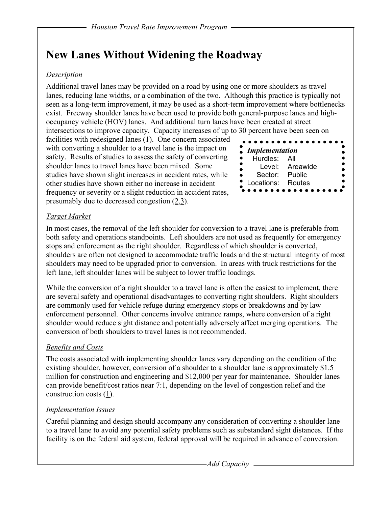## **New Lanes Without Widening the Roadway**

### *Description*

Additional travel lanes may be provided on a road by using one or more shoulders as travel lanes, reducing lane widths, or a combination of the two. Although this practice is typically not seen as a long-term improvement, it may be used as a short-term improvement where bottlenecks exist. Freeway shoulder lanes have been used to provide both general-purpose lanes and highoccupancy vehicle (HOV) lanes. And additional turn lanes have been created at street intersections to improve capacity. Capacity increases of up to 30 percent have been seen on

facilities with redesigned lanes (1). One concern associated with converting a shoulder to a travel lane is the impact on safety. Results of studies to assess the safety of converting shoulder lanes to travel lanes have been mixed. Some studies have shown slight increases in accident rates, while other studies have shown either no increase in accident frequency or severity or a slight reduction in accident rates, presumably due to decreased congestion (2,3).

| <b>Implementation</b> |                 |
|-----------------------|-----------------|
| Hurdles: All          |                 |
|                       | Level: Areawide |
| Sector: Public        |                 |
| Locations: Routes     |                 |

#### *Target Market*

In most cases, the removal of the left shoulder for conversion to a travel lane is preferable from both safety and operations standpoints. Left shoulders are not used as frequently for emergency stops and enforcement as the right shoulder. Regardless of which shoulder is converted, shoulders are often not designed to accommodate traffic loads and the structural integrity of most shoulders may need to be upgraded prior to conversion. In areas with truck restrictions for the left lane, left shoulder lanes will be subject to lower traffic loadings.

While the conversion of a right shoulder to a travel lane is often the easiest to implement, there are several safety and operational disadvantages to converting right shoulders. Right shoulders are commonly used for vehicle refuge during emergency stops or breakdowns and by law enforcement personnel. Other concerns involve entrance ramps, where conversion of a right shoulder would reduce sight distance and potentially adversely affect merging operations. The conversion of both shoulders to travel lanes is not recommended.

### *Benefits and Costs*

The costs associated with implementing shoulder lanes vary depending on the condition of the existing shoulder, however, conversion of a shoulder to a shoulder lane is approximately \$1.5 million for construction and engineering and \$12,000 per year for maintenance. Shoulder lanes can provide benefit/cost ratios near 7:1, depending on the level of congestion relief and the construction costs (1).

#### *Implementation Issues*

Careful planning and design should accompany any consideration of converting a shoulder lane to a travel lane to avoid any potential safety problems such as substandard sight distances. If the facility is on the federal aid system, federal approval will be required in advance of conversion.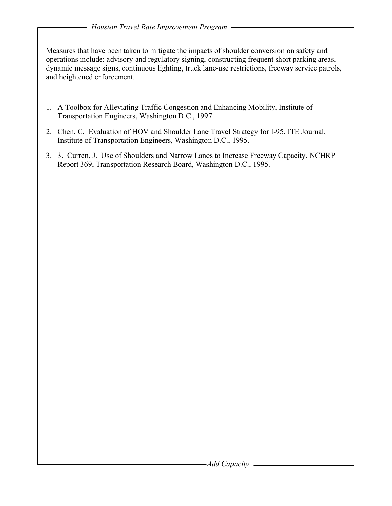Measures that have been taken to mitigate the impacts of shoulder conversion on safety and operations include: advisory and regulatory signing, constructing frequent short parking areas, dynamic message signs, continuous lighting, truck lane-use restrictions, freeway service patrols, and heightened enforcement.

- 1. A Toolbox for Alleviating Traffic Congestion and Enhancing Mobility, Institute of Transportation Engineers, Washington D.C., 1997.
- 2. Chen, C. Evaluation of HOV and Shoulder Lane Travel Strategy for I-95, ITE Journal, Institute of Transportation Engineers, Washington D.C., 1995.
- 3. 3. Curren, J. Use of Shoulders and Narrow Lanes to Increase Freeway Capacity, NCHRP Report 369, Transportation Research Board, Washington D.C., 1995.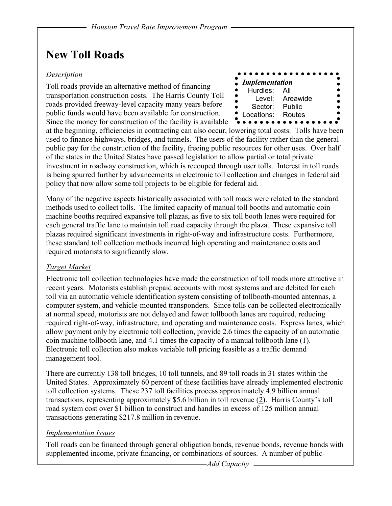## **New Toll Roads**

#### *Description*

Toll roads provide an alternative method of financing transportation construction costs. The Harris County Toll roads provided freeway-level capacity many years before public funds would have been available for construction. Since the money for construction of the facility is available

|                            | .               |  |
|----------------------------|-----------------|--|
|                            |                 |  |
| <i>Implementation</i><br>ė |                 |  |
| Hurdles: All<br>D          |                 |  |
|                            | Level: Areawide |  |
|                            |                 |  |
| Sector: Public             |                 |  |
| Locations: Routes          |                 |  |
|                            |                 |  |

at the beginning, efficiencies in contracting can also occur, lowering total costs. Tolls have been used to finance highways, bridges, and tunnels. The users of the facility rather than the general public pay for the construction of the facility, freeing public resources for other uses. Over half of the states in the United States have passed legislation to allow partial or total private investment in roadway construction, which is recouped through user tolls. Interest in toll roads is being spurred further by advancements in electronic toll collection and changes in federal aid policy that now allow some toll projects to be eligible for federal aid.

Many of the negative aspects historically associated with toll roads were related to the standard methods used to collect tolls. The limited capacity of manual toll booths and automatic coin machine booths required expansive toll plazas, as five to six toll booth lanes were required for each general traffic lane to maintain toll road capacity through the plaza. These expansive toll plazas required significant investments in right-of-way and infrastructure costs. Furthermore, these standard toll collection methods incurred high operating and maintenance costs and required motorists to significantly slow.

#### *Target Market*

Electronic toll collection technologies have made the construction of toll roads more attractive in recent years. Motorists establish prepaid accounts with most systems and are debited for each toll via an automatic vehicle identification system consisting of tollbooth-mounted antennas, a computer system, and vehicle-mounted transponders. Since tolls can be collected electronically at normal speed, motorists are not delayed and fewer tollbooth lanes are required, reducing required right-of-way, infrastructure, and operating and maintenance costs. Express lanes, which allow payment only by electronic toll collection, provide 2.6 times the capacity of an automatic coin machine tollbooth lane, and 4.1 times the capacity of a manual tollbooth lane (1). Electronic toll collection also makes variable toll pricing feasible as a traffic demand management tool.

There are currently 138 toll bridges, 10 toll tunnels, and 89 toll roads in 31 states within the United States. Approximately 60 percent of these facilities have already implemented electronic toll collection systems. These 237 toll facilities process approximately 4.9 billion annual transactions, representing approximately \$5.6 billion in toll revenue (2). Harris County's toll road system cost over \$1 billion to construct and handles in excess of 125 million annual transactions generating \$217.8 million in revenue.

#### *Implementation Issues*

Toll roads can be financed through general obligation bonds, revenue bonds, revenue bonds with supplemented income, private financing, or combinations of sources. A number of public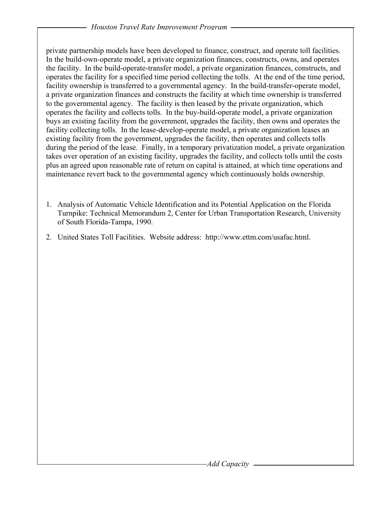private partnership models have been developed to finance, construct, and operate toll facilities. In the build-own-operate model, a private organization finances, constructs, owns, and operates the facility. In the build-operate-transfer model, a private organization finances, constructs, and operates the facility for a specified time period collecting the tolls. At the end of the time period, facility ownership is transferred to a governmental agency. In the build-transfer-operate model, a private organization finances and constructs the facility at which time ownership is transferred to the governmental agency. The facility is then leased by the private organization, which operates the facility and collects tolls. In the buy-build-operate model, a private organization buys an existing facility from the government, upgrades the facility, then owns and operates the facility collecting tolls. In the lease-develop-operate model, a private organization leases an existing facility from the government, upgrades the facility, then operates and collects tolls during the period of the lease. Finally, in a temporary privatization model, a private organization takes over operation of an existing facility, upgrades the facility, and collects tolls until the costs plus an agreed upon reasonable rate of return on capital is attained, at which time operations and maintenance revert back to the governmental agency which continuously holds ownership.

- 1. Analysis of Automatic Vehicle Identification and its Potential Application on the Florida Turnpike: Technical Memorandum 2, Center for Urban Transportation Research, University of South Florida-Tampa, 1990.
- 2. United States Toll Facilities. Website address: http://www.ettm.com/usafac.html.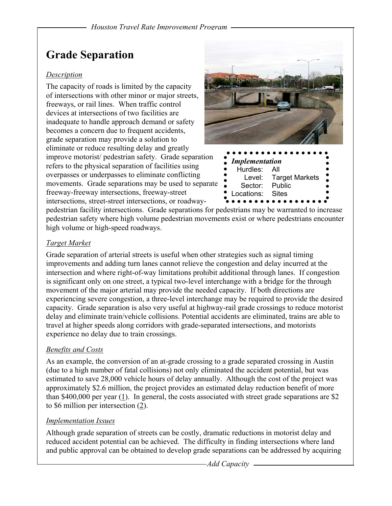## **Grade Separation**

#### *Description*

The capacity of roads is limited by the capacity of intersections with other minor or major streets, freeways, or rail lines. When traffic control devices at intersections of two facilities are inadequate to handle approach demand or safety becomes a concern due to frequent accidents, grade separation may provide a solution to eliminate or reduce resulting delay and greatly improve motorist/ pedestrian safety. Grade separation refers to the physical separation of facilities using overpasses or underpasses to eliminate conflicting movements. Grade separations may be used to separate freeway-freeway intersections, freeway-street intersections, street-street intersections, or roadway-



pedestrian facility intersections. Grade separations for pedestrians may be warranted to increase pedestrian safety where high volume pedestrian movements exist or where pedestrians encounter high volume or high-speed roadways.

### *Target Market*

Grade separation of arterial streets is useful when other strategies such as signal timing improvements and adding turn lanes cannot relieve the congestion and delay incurred at the intersection and where right-of-way limitations prohibit additional through lanes. If congestion is significant only on one street, a typical two-level interchange with a bridge for the through movement of the major arterial may provide the needed capacity. If both directions are experiencing severe congestion, a three-level interchange may be required to provide the desired capacity. Grade separation is also very useful at highway-rail grade crossings to reduce motorist delay and eliminate train/vehicle collisions. Potential accidents are eliminated, trains are able to travel at higher speeds along corridors with grade-separated intersections, and motorists experience no delay due to train crossings.

### *Benefits and Costs*

As an example, the conversion of an at-grade crossing to a grade separated crossing in Austin (due to a high number of fatal collisions) not only eliminated the accident potential, but was estimated to save 28,000 vehicle hours of delay annually. Although the cost of the project was approximately \$2.6 million, the project provides an estimated delay reduction benefit of more than \$400,000 per year  $(1)$ . In general, the costs associated with street grade separations are \$2 to \$6 million per intersection (2).

### *Implementation Issues*

Although grade separation of streets can be costly, dramatic reductions in motorist delay and reduced accident potential can be achieved. The difficulty in finding intersections where land and public approval can be obtained to develop grade separations can be addressed by acquiring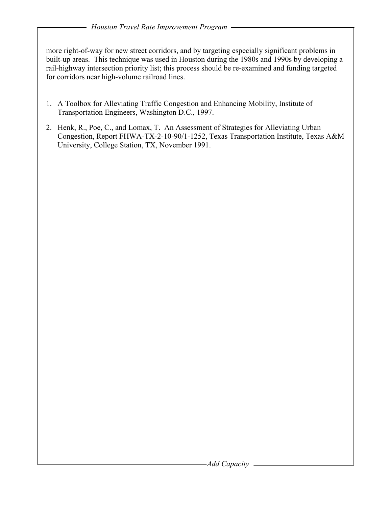more right-of-way for new street corridors, and by targeting especially significant problems in built-up areas. This technique was used in Houston during the 1980s and 1990s by developing a rail-highway intersection priority list; this process should be re-examined and funding targeted for corridors near high-volume railroad lines.

- 1. A Toolbox for Alleviating Traffic Congestion and Enhancing Mobility, Institute of Transportation Engineers, Washington D.C., 1997.
- 2. Henk, R., Poe, C., and Lomax, T. An Assessment of Strategies for Alleviating Urban Congestion, Report FHWA-TX-2-10-90/1-1252, Texas Transportation Institute, Texas A&M University, College Station, TX, November 1991.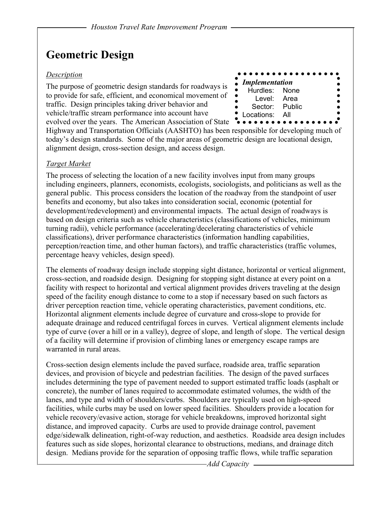## **Geometric Design**

#### *Description*

The purpose of geometric design standards for roadways is to provide for safe, efficient, and economical movement of traffic. Design principles taking driver behavior and vehicle/traffic stream performance into account have evolved over the years. The American Association of State



Highway and Transportation Officials (AASHTO) has been responsible for developing much of today's design standards. Some of the major areas of geometric design are locational design, alignment design, cross-section design, and access design.

#### *Target Market*

The process of selecting the location of a new facility involves input from many groups including engineers, planners, economists, ecologists, sociologists, and politicians as well as the general public. This process considers the location of the roadway from the standpoint of user benefits and economy, but also takes into consideration social, economic (potential for development/redevelopment) and environmental impacts. The actual design of roadways is based on design criteria such as vehicle characteristics (classifications of vehicles, minimum turning radii), vehicle performance (accelerating/decelerating characteristics of vehicle classifications), driver performance characteristics (information handling capabilities, perception/reaction time, and other human factors), and traffic characteristics (traffic volumes, percentage heavy vehicles, design speed).

The elements of roadway design include stopping sight distance, horizontal or vertical alignment, cross-section, and roadside design. Designing for stopping sight distance at every point on a facility with respect to horizontal and vertical alignment provides drivers traveling at the design speed of the facility enough distance to come to a stop if necessary based on such factors as driver perception reaction time, vehicle operating characteristics, pavement conditions, etc. Horizontal alignment elements include degree of curvature and cross-slope to provide for adequate drainage and reduced centrifugal forces in curves. Vertical alignment elements include type of curve (over a hill or in a valley), degree of slope, and length of slope. The vertical design of a facility will determine if provision of climbing lanes or emergency escape ramps are warranted in rural areas.

Cross-section design elements include the paved surface, roadside area, traffic separation devices, and provision of bicycle and pedestrian facilities. The design of the paved surfaces includes determining the type of pavement needed to support estimated traffic loads (asphalt or concrete), the number of lanes required to accommodate estimated volumes, the width of the lanes, and type and width of shoulders/curbs. Shoulders are typically used on high-speed facilities, while curbs may be used on lower speed facilities. Shoulders provide a location for vehicle recovery/evasive action, storage for vehicle breakdowns, improved horizontal sight distance, and improved capacity. Curbs are used to provide drainage control, pavement edge/sidewalk delineation, right-of-way reduction, and aesthetics. Roadside area design includes features such as side slopes, horizontal clearance to obstructions, medians, and drainage ditch design. Medians provide for the separation of opposing traffic flows, while traffic separation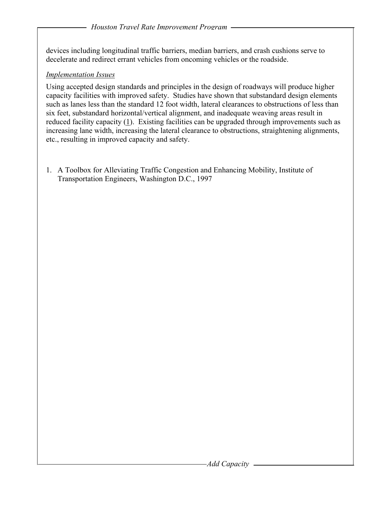devices including longitudinal traffic barriers, median barriers, and crash cushions serve to decelerate and redirect errant vehicles from oncoming vehicles or the roadside.

#### *Implementation Issues*

Using accepted design standards and principles in the design of roadways will produce higher capacity facilities with improved safety. Studies have shown that substandard design elements such as lanes less than the standard 12 foot width, lateral clearances to obstructions of less than six feet, substandard horizontal/vertical alignment, and inadequate weaving areas result in reduced facility capacity  $(1)$ . Existing facilities can be upgraded through improvements such as increasing lane width, increasing the lateral clearance to obstructions, straightening alignments, etc., resulting in improved capacity and safety.

1. A Toolbox for Alleviating Traffic Congestion and Enhancing Mobility, Institute of Transportation Engineers, Washington D.C., 1997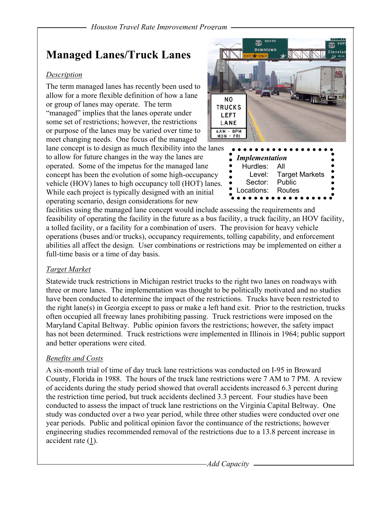## **Managed Lanes/Truck Lanes**

#### *Description*

The term managed lanes has recently been used to allow for a more flexible definition of how a lane or group of lanes may operate. The term "managed" implies that the lanes operate under some set of restrictions; however, the restrictions or purpose of the lanes may be varied over time to meet changing needs. One focus of the managed

lane concept is to design as much flexibility into the lanes to allow for future changes in the way the lanes are operated. Some of the impetus for the managed lane concept has been the evolution of some high-occupancy vehicle (HOV) lanes to high occupancy toll (HOT) lanes. While each project is typically designed with an initial operating scenario, design considerations for new



 Level: Target Markets Sector: Public Locations: Routes

facilities using the managed lane concept would include assessing the requirements and feasibility of operating the facility in the future as a bus facility, a truck facility, an HOV facility, a tolled facility, or a facility for a combination of users. The provision for heavy vehicle operations (buses and/or trucks), occupancy requirements, tolling capability, and enforcement abilities all affect the design. User combinations or restrictions may be implemented on either a full-time basis or a time of day basis.

### *Target Market*

Statewide truck restrictions in Michigan restrict trucks to the right two lanes on roadways with three or more lanes. The implementation was thought to be politically motivated and no studies have been conducted to determine the impact of the restrictions. Trucks have been restricted to the right lane(s) in Georgia except to pass or make a left hand exit. Prior to the restriction, trucks often occupied all freeway lanes prohibiting passing. Truck restrictions were imposed on the Maryland Capital Beltway. Public opinion favors the restrictions; however, the safety impact has not been determined. Truck restrictions were implemented in Illinois in 1964; public support and better operations were cited.

### *Benefits and Costs*

A six-month trial of time of day truck lane restrictions was conducted on I-95 in Broward County, Florida in 1988. The hours of the truck lane restrictions were 7 AM to 7 PM. A review of accidents during the study period showed that overall accidents increased 6.3 percent during the restriction time period, but truck accidents declined 3.3 percent. Four studies have been conducted to assess the impact of truck lane restrictions on the Virginia Capital Beltway. One study was conducted over a two year period, while three other studies were conducted over one year periods. Public and political opinion favor the continuance of the restrictions; however engineering studies recommended removal of the restrictions due to a 13.8 percent increase in accident rate  $(1)$ .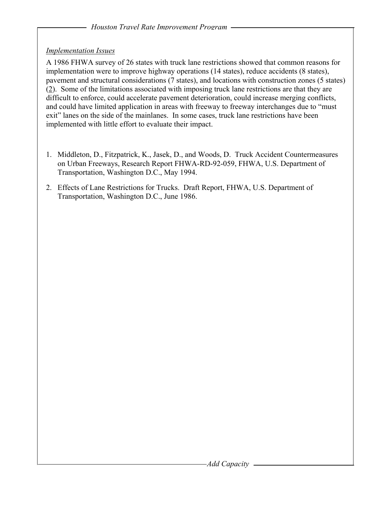### *Implementation Issues*

A 1986 FHWA survey of 26 states with truck lane restrictions showed that common reasons for implementation were to improve highway operations (14 states), reduce accidents (8 states), pavement and structural considerations (7 states), and locations with construction zones (5 states) (2). Some of the limitations associated with imposing truck lane restrictions are that they are difficult to enforce, could accelerate pavement deterioration, could increase merging conflicts, and could have limited application in areas with freeway to freeway interchanges due to "must exit" lanes on the side of the mainlanes. In some cases, truck lane restrictions have been implemented with little effort to evaluate their impact.

- 1. Middleton, D., Fitzpatrick, K., Jasek, D., and Woods, D. Truck Accident Countermeasures on Urban Freeways, Research Report FHWA-RD-92-059, FHWA, U.S. Department of Transportation, Washington D.C., May 1994.
- 2. Effects of Lane Restrictions for Trucks. Draft Report, FHWA, U.S. Department of Transportation, Washington D.C., June 1986.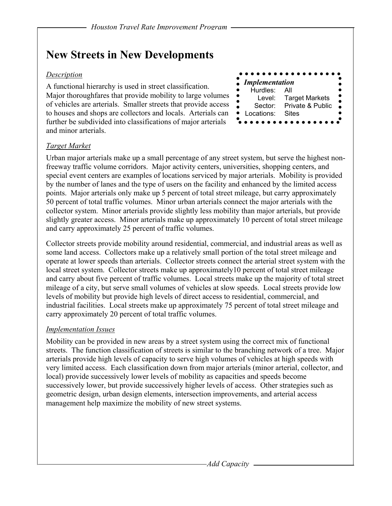## **New Streets in New Developments**

#### *Description*

A functional hierarchy is used in street classification. Major thoroughfares that provide mobility to large volumes of vehicles are arterials. Smaller streets that provide access to houses and shops are collectors and locals. Arterials can further be subdivided into classifications of major arterials and minor arterials.



#### *Target Market*

Urban major arterials make up a small percentage of any street system, but serve the highest nonfreeway traffic volume corridors. Major activity centers, universities, shopping centers, and special event centers are examples of locations serviced by major arterials. Mobility is provided by the number of lanes and the type of users on the facility and enhanced by the limited access points. Major arterials only make up 5 percent of total street mileage, but carry approximately 50 percent of total traffic volumes. Minor urban arterials connect the major arterials with the collector system. Minor arterials provide slightly less mobility than major arterials, but provide slightly greater access. Minor arterials make up approximately 10 percent of total street mileage and carry approximately 25 percent of traffic volumes.

Collector streets provide mobility around residential, commercial, and industrial areas as well as some land access. Collectors make up a relatively small portion of the total street mileage and operate at lower speeds than arterials. Collector streets connect the arterial street system with the local street system. Collector streets make up approximately10 percent of total street mileage and carry about five percent of traffic volumes. Local streets make up the majority of total street mileage of a city, but serve small volumes of vehicles at slow speeds. Local streets provide low levels of mobility but provide high levels of direct access to residential, commercial, and industrial facilities. Local streets make up approximately 75 percent of total street mileage and carry approximately 20 percent of total traffic volumes.

#### *Implementation Issues*

Mobility can be provided in new areas by a street system using the correct mix of functional streets. The function classification of streets is similar to the branching network of a tree. Major arterials provide high levels of capacity to serve high volumes of vehicles at high speeds with very limited access. Each classification down from major arterials (minor arterial, collector, and local) provide successively lower levels of mobility as capacities and speeds become successively lower, but provide successively higher levels of access. Other strategies such as geometric design, urban design elements, intersection improvements, and arterial access management help maximize the mobility of new street systems.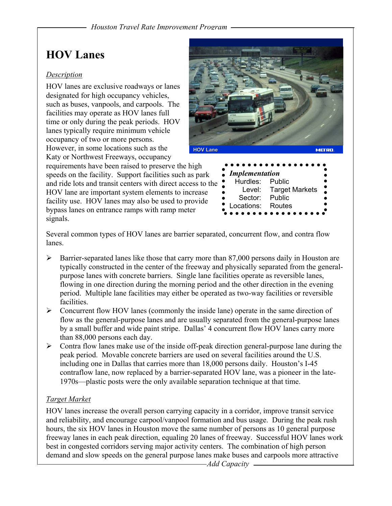## **HOV Lanes**

#### *Description*

HOV lanes are exclusive roadways or lanes designated for high occupancy vehicles, such as buses, vanpools, and carpools. The facilities may operate as HOV lanes full time or only during the peak periods. HOV lanes typically require minimum vehicle occupancy of two or more persons. However, in some locations such as the Katy or Northwest Freeways, occupancy

requirements have been raised to preserve the high speeds on the facility. Support facilities such as park and ride lots and transit centers with direct access to the HOV lane are important system elements to increase facility use. HOV lanes may also be used to provide bypass lanes on entrance ramps with ramp meter signals.



Several common types of HOV lanes are barrier separated, concurrent flow, and contra flow lanes.

- $\triangleright$  Barrier-separated lanes like those that carry more than 87,000 persons daily in Houston are typically constructed in the center of the freeway and physically separated from the generalpurpose lanes with concrete barriers. Single lane facilities operate as reversible lanes, flowing in one direction during the morning period and the other direction in the evening period. Multiple lane facilities may either be operated as two-way facilities or reversible facilities.
- $\triangleright$  Concurrent flow HOV lanes (commonly the inside lane) operate in the same direction of flow as the general-purpose lanes and are usually separated from the general-purpose lanes by a small buffer and wide paint stripe. Dallas' 4 concurrent flow HOV lanes carry more than 88,000 persons each day.
- $\triangleright$  Contra flow lanes make use of the inside off-peak direction general-purpose lane during the peak period. Movable concrete barriers are used on several facilities around the U.S. including one in Dallas that carries more than 18,000 persons daily. Houston's I-45 contraflow lane, now replaced by a barrier-separated HOV lane, was a pioneer in the late-1970s—plastic posts were the only available separation technique at that time.

### *Target Market*

HOV lanes increase the overall person carrying capacity in a corridor, improve transit service and reliability, and encourage carpool/vanpool formation and bus usage. During the peak rush hours, the six HOV lanes in Houston move the same number of persons as 10 general purpose freeway lanes in each peak direction, equaling 20 lanes of freeway. Successful HOV lanes work best in congested corridors serving major activity centers. The combination of high person demand and slow speeds on the general purpose lanes make buses and carpools more attractive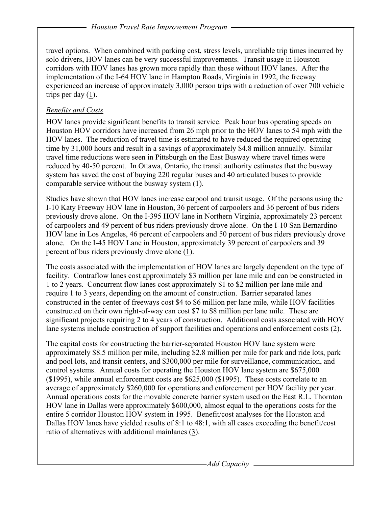travel options. When combined with parking cost, stress levels, unreliable trip times incurred by solo drivers, HOV lanes can be very successful improvements. Transit usage in Houston corridors with HOV lanes has grown more rapidly than those without HOV lanes. After the implementation of the I-64 HOV lane in Hampton Roads, Virginia in 1992, the freeway experienced an increase of approximately 3,000 person trips with a reduction of over 700 vehicle trips per day  $(\underline{1})$ .

### *Benefits and Costs*

HOV lanes provide significant benefits to transit service. Peak hour bus operating speeds on Houston HOV corridors have increased from 26 mph prior to the HOV lanes to 54 mph with the HOV lanes. The reduction of travel time is estimated to have reduced the required operating time by 31,000 hours and result in a savings of approximately \$4.8 million annually. Similar travel time reductions were seen in Pittsburgh on the East Busway where travel times were reduced by 40-50 percent. In Ottawa, Ontario, the transit authority estimates that the busway system has saved the cost of buying 220 regular buses and 40 articulated buses to provide comparable service without the busway system (1).

Studies have shown that HOV lanes increase carpool and transit usage. Of the persons using the I-10 Katy Freeway HOV lane in Houston, 36 percent of carpoolers and 36 percent of bus riders previously drove alone. On the I-395 HOV lane in Northern Virginia, approximately 23 percent of carpoolers and 49 percent of bus riders previously drove alone. On the I-10 San Bernardino HOV lane in Los Angeles, 46 percent of carpoolers and 50 percent of bus riders previously drove alone. On the I-45 HOV Lane in Houston, approximately 39 percent of carpoolers and 39 percent of bus riders previously drove alone (1).

The costs associated with the implementation of HOV lanes are largely dependent on the type of facility. Contraflow lanes cost approximately \$3 million per lane mile and can be constructed in 1 to 2 years. Concurrent flow lanes cost approximately \$1 to \$2 million per lane mile and require 1 to 3 years, depending on the amount of construction. Barrier separated lanes constructed in the center of freeways cost \$4 to \$6 million per lane mile, while HOV facilities constructed on their own right-of-way can cost \$7 to \$8 million per lane mile. These are significant projects requiring 2 to 4 years of construction. Additional costs associated with HOV lane systems include construction of support facilities and operations and enforcement costs (2).

The capital costs for constructing the barrier-separated Houston HOV lane system were approximately \$8.5 million per mile, including \$2.8 million per mile for park and ride lots, park and pool lots, and transit centers, and \$300,000 per mile for surveillance, communication, and control systems. Annual costs for operating the Houston HOV lane system are \$675,000 (\$1995), while annual enforcement costs are \$625,000 (\$1995). These costs correlate to an average of approximately \$260,000 for operations and enforcement per HOV facility per year. Annual operations costs for the movable concrete barrier system used on the East R.L. Thornton HOV lane in Dallas were approximately \$600,000, almost equal to the operations costs for the entire 5 corridor Houston HOV system in 1995. Benefit/cost analyses for the Houston and Dallas HOV lanes have yielded results of 8:1 to 48:1, with all cases exceeding the benefit/cost ratio of alternatives with additional mainlanes (3).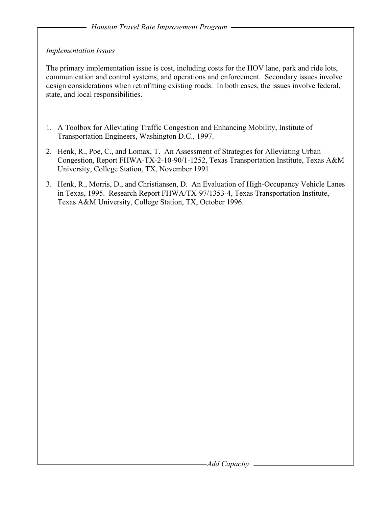#### *Implementation Issues*

The primary implementation issue is cost, including costs for the HOV lane, park and ride lots, communication and control systems, and operations and enforcement. Secondary issues involve design considerations when retrofitting existing roads. In both cases, the issues involve federal, state, and local responsibilities.

- 1. A Toolbox for Alleviating Traffic Congestion and Enhancing Mobility, Institute of Transportation Engineers, Washington D.C., 1997.
- 2. Henk, R., Poe, C., and Lomax, T. An Assessment of Strategies for Alleviating Urban Congestion, Report FHWA-TX-2-10-90/1-1252, Texas Transportation Institute, Texas A&M University, College Station, TX, November 1991.
- 3. Henk, R., Morris, D., and Christiansen, D. An Evaluation of High-Occupancy Vehicle Lanes in Texas, 1995. Research Report FHWA/TX-97/1353-4, Texas Transportation Institute, Texas A&M University, College Station, TX, October 1996.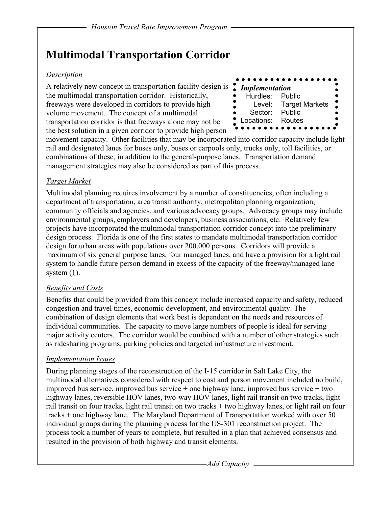## **Multimodal Transportation Corridor**

#### *Description*

A relatively new concept in transportation facility design is the multimodal transportation corridor. Historically, freeways were developed in corridors to provide high volume movement. The concept of a multimodal transportation corridor is that freeways alone may not be the best solution in a given corridor to provide high person



movement capacity. Other facilities that may be incorporated into corridor capacity include light rail and designated lanes for buses only, buses or carpools only, trucks only, toll facilities, or combinations of these, in addition to the general-purpose lanes. Transportation demand management strategies may also be considered as part of this process.

#### *Target Market*

Multimodal planning requires involvement by a number of constituencies, often including a department of transportation, area transit authority, metropolitan planning organization, community officials and agencies, and various advocacy groups. Advocacy groups may include environmental groups, employers and developers, business associations, etc. Relatively few projects have incorporated the multimodal transportation corridor concept into the preliminary design process. Florida is one of the first states to mandate multimodal transportation corridor design for urban areas with populations over 200,000 persons. Corridors will provide a maximum of six general purpose lanes, four managed lanes, and have a provision for a light rail system to handle future person demand in excess of the capacity of the freeway/managed lane system  $(1)$ .

### *Benefits and Costs*

Benefits that could be provided from this concept include increased capacity and safety, reduced congestion and travel times, economic development, and environmental quality. The combination of design elements that work best is dependent on the needs and resources of individual communities. The capacity to move large numbers of people is ideal for serving major activity centers. The corridor would be combined with a number of other strategies such as ridesharing programs, parking policies and targeted infrastructure investment.

### *Implementation Issues*

During planning stages of the reconstruction of the I-15 corridor in Salt Lake City, the multimodal alternatives considered with respect to cost and person movement included no build, improved bus service, improved bus service + one highway lane, improved bus service + two highway lanes, reversible HOV lanes, two-way HOV lanes, light rail transit on two tracks, light rail transit on four tracks, light rail transit on two tracks + two highway lanes, or light rail on four tracks + one highway lane. The Maryland Department of Transportation worked with over 50 individual groups during the planning process for the US-301 reconstruction project. The process took a number of years to complete, but resulted in a plan that achieved consensus and resulted in the provision of both highway and transit elements.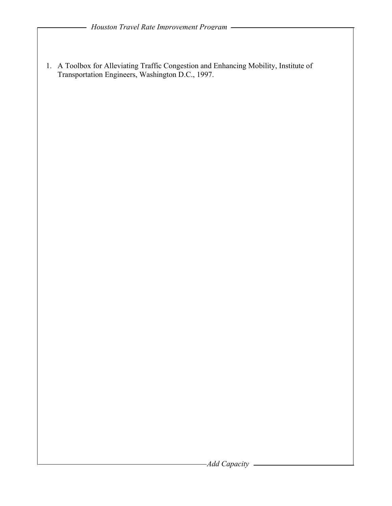1. A Toolbox for Alleviating Traffic Congestion and Enhancing Mobility, Institute of Transportation Engineers, Washington D.C., 1997.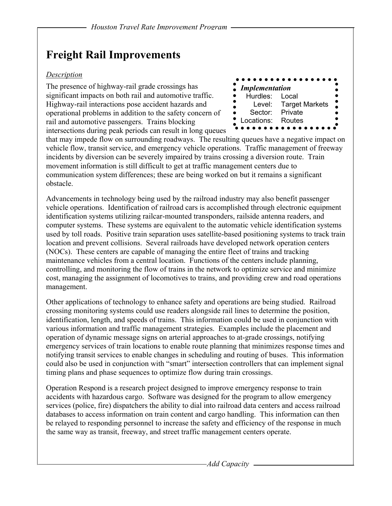## **Freight Rail Improvements**

#### *Description*

The presence of highway-rail grade crossings has significant impacts on both rail and automotive traffic. Highway-rail interactions pose accident hazards and operational problems in addition to the safety concern of rail and automotive passengers. Trains blocking intersections during peak periods can result in long queues



that may impede flow on surrounding roadways. The resulting queues have a negative impact on vehicle flow, transit service, and emergency vehicle operations. Traffic management of freeway incidents by diversion can be severely impaired by trains crossing a diversion route. Train movement information is still difficult to get at traffic management centers due to communication system differences; these are being worked on but it remains a significant obstacle.

Advancements in technology being used by the railroad industry may also benefit passenger vehicle operations. Identification of railroad cars is accomplished through electronic equipment identification systems utilizing railcar-mounted transponders, railside antenna readers, and computer systems. These systems are equivalent to the automatic vehicle identification systems used by toll roads. Positive train separation uses satellite-based positioning systems to track train location and prevent collisions. Several railroads have developed network operation centers (NOCs). These centers are capable of managing the entire fleet of trains and tracking maintenance vehicles from a central location. Functions of the centers include planning, controlling, and monitoring the flow of trains in the network to optimize service and minimize cost, managing the assignment of locomotives to trains, and providing crew and road operations management.

Other applications of technology to enhance safety and operations are being studied. Railroad crossing monitoring systems could use readers alongside rail lines to determine the position, identification, length, and speeds of trains. This information could be used in conjunction with various information and traffic management strategies. Examples include the placement and operation of dynamic message signs on arterial approaches to at-grade crossings, notifying emergency services of train locations to enable route planning that minimizes response times and notifying transit services to enable changes in scheduling and routing of buses. This information could also be used in conjunction with "smart" intersection controllers that can implement signal timing plans and phase sequences to optimize flow during train crossings.

Operation Respond is a research project designed to improve emergency response to train accidents with hazardous cargo. Software was designed for the program to allow emergency services (police, fire) dispatchers the ability to dial into railroad data centers and access railroad databases to access information on train content and cargo handling. This information can then be relayed to responding personnel to increase the safety and efficiency of the response in much the same way as transit, freeway, and street traffic management centers operate.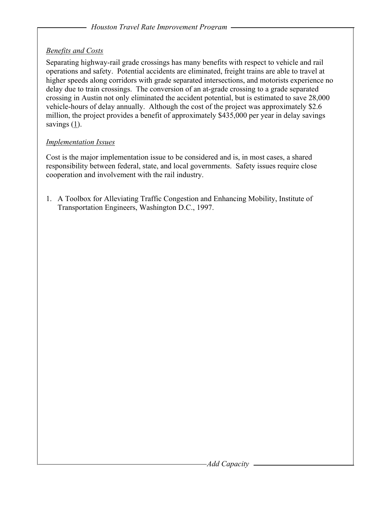### *Benefits and Costs*

Separating highway-rail grade crossings has many benefits with respect to vehicle and rail operations and safety. Potential accidents are eliminated, freight trains are able to travel at higher speeds along corridors with grade separated intersections, and motorists experience no delay due to train crossings. The conversion of an at-grade crossing to a grade separated crossing in Austin not only eliminated the accident potential, but is estimated to save 28,000 vehicle-hours of delay annually. Although the cost of the project was approximately \$2.6 million, the project provides a benefit of approximately \$435,000 per year in delay savings savings  $(1)$ .

#### *Implementation Issues*

Cost is the major implementation issue to be considered and is, in most cases, a shared responsibility between federal, state, and local governments. Safety issues require close cooperation and involvement with the rail industry.

1. A Toolbox for Alleviating Traffic Congestion and Enhancing Mobility, Institute of Transportation Engineers, Washington D.C., 1997.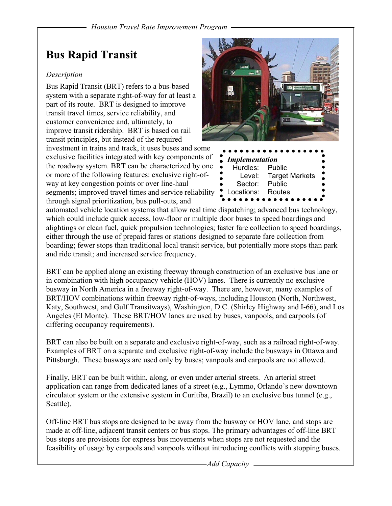## **Bus Rapid Transit**

### *Description*

Bus Rapid Transit (BRT) refers to a bus-based system with a separate right-of-way for at least a part of its route. BRT is designed to improve transit travel times, service reliability, and customer convenience and, ultimately, to improve transit ridership. BRT is based on rail transit principles, but instead of the required investment in trains and track, it uses buses and some exclusive facilities integrated with key components of

the roadway system. BRT can be characterized by one or more of the following features: exclusive right-ofway at key congestion points or over line-haul segments; improved travel times and service reliability through signal prioritization, bus pull-outs, and



automated vehicle location systems that allow real time dispatching; advanced bus technology, which could include quick access, low-floor or multiple door buses to speed boardings and alightings or clean fuel, quick propulsion technologies; faster fare collection to speed boardings, either through the use of prepaid fares or stations designed to separate fare collection from boarding; fewer stops than traditional local transit service, but potentially more stops than park and ride transit; and increased service frequency.

BRT can be applied along an existing freeway through construction of an exclusive bus lane or in combination with high occupancy vehicle (HOV) lanes. There is currently no exclusive busway in North America in a freeway right-of-way. There are, however, many examples of BRT/HOV combinations within freeway right-of-ways, including Houston (North, Northwest, Katy, Southwest, and Gulf Transitways), Washington, D.C. (Shirley Highway and I-66), and Los Angeles (El Monte). These BRT/HOV lanes are used by buses, vanpools, and carpools (of differing occupancy requirements).

BRT can also be built on a separate and exclusive right-of-way, such as a railroad right-of-way. Examples of BRT on a separate and exclusive right-of-way include the busways in Ottawa and Pittsburgh. These busways are used only by buses; vanpools and carpools are not allowed.

Finally, BRT can be built within, along, or even under arterial streets. An arterial street application can range from dedicated lanes of a street (e.g., Lymmo, Orlando's new downtown circulator system or the extensive system in Curitiba, Brazil) to an exclusive bus tunnel (e.g., Seattle).

Off-line BRT bus stops are designed to be away from the busway or HOV lane, and stops are made at off-line, adjacent transit centers or bus stops. The primary advantages of off-line BRT bus stops are provisions for express bus movements when stops are not requested and the feasibility of usage by carpools and vanpools without introducing conflicts with stopping buses.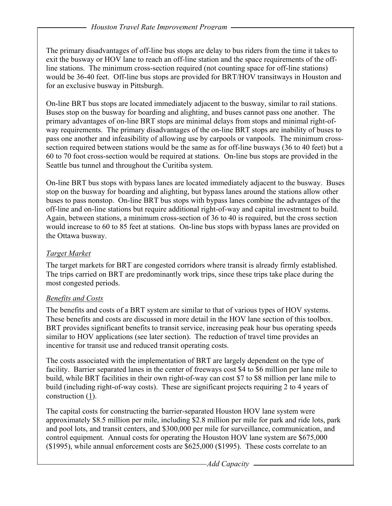The primary disadvantages of off-line bus stops are delay to bus riders from the time it takes to exit the busway or HOV lane to reach an off-line station and the space requirements of the offline stations. The minimum cross-section required (not counting space for off-line stations) would be 36-40 feet. Off-line bus stops are provided for BRT/HOV transitways in Houston and for an exclusive busway in Pittsburgh.

On-line BRT bus stops are located immediately adjacent to the busway, similar to rail stations. Buses stop on the busway for boarding and alighting, and buses cannot pass one another. The primary advantages of on-line BRT stops are minimal delays from stops and minimal right-ofway requirements. The primary disadvantages of the on-line BRT stops are inability of buses to pass one another and infeasibility of allowing use by carpools or vanpools. The minimum crosssection required between stations would be the same as for off-line busways (36 to 40 feet) but a 60 to 70 foot cross-section would be required at stations. On-line bus stops are provided in the Seattle bus tunnel and throughout the Curitiba system.

On-line BRT bus stops with bypass lanes are located immediately adjacent to the busway. Buses stop on the busway for boarding and alighting, but bypass lanes around the stations allow other buses to pass nonstop. On-line BRT bus stops with bypass lanes combine the advantages of the off-line and on-line stations but require additional right-of-way and capital investment to build. Again, between stations, a minimum cross-section of 36 to 40 is required, but the cross section would increase to 60 to 85 feet at stations. On-line bus stops with bypass lanes are provided on the Ottawa busway.

### *Target Market*

The target markets for BRT are congested corridors where transit is already firmly established. The trips carried on BRT are predominantly work trips, since these trips take place during the most congested periods.

### *Benefits and Costs*

The benefits and costs of a BRT system are similar to that of various types of HOV systems. These benefits and costs are discussed in more detail in the HOV lane section of this toolbox. BRT provides significant benefits to transit service, increasing peak hour bus operating speeds similar to HOV applications (see later section). The reduction of travel time provides an incentive for transit use and reduced transit operating costs.

The costs associated with the implementation of BRT are largely dependent on the type of facility. Barrier separated lanes in the center of freeways cost \$4 to \$6 million per lane mile to build, while BRT facilities in their own right-of-way can cost \$7 to \$8 million per lane mile to build (including right-of-way costs). These are significant projects requiring 2 to 4 years of construction (1).

The capital costs for constructing the barrier-separated Houston HOV lane system were approximately \$8.5 million per mile, including \$2.8 million per mile for park and ride lots, park and pool lots, and transit centers, and \$300,000 per mile for surveillance, communication, and control equipment. Annual costs for operating the Houston HOV lane system are \$675,000 (\$1995), while annual enforcement costs are \$625,000 (\$1995). These costs correlate to an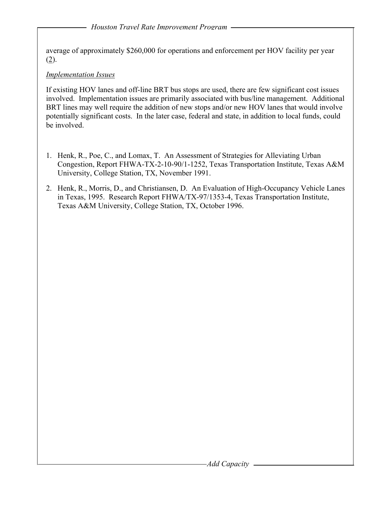average of approximately \$260,000 for operations and enforcement per HOV facility per year (2).

### *Implementation Issues*

If existing HOV lanes and off-line BRT bus stops are used, there are few significant cost issues involved. Implementation issues are primarily associated with bus/line management. Additional BRT lines may well require the addition of new stops and/or new HOV lanes that would involve potentially significant costs. In the later case, federal and state, in addition to local funds, could be involved.

- 1. Henk, R., Poe, C., and Lomax, T. An Assessment of Strategies for Alleviating Urban Congestion, Report FHWA-TX-2-10-90/1-1252, Texas Transportation Institute, Texas A&M University, College Station, TX, November 1991.
- 2. Henk, R., Morris, D., and Christiansen, D. An Evaluation of High-Occupancy Vehicle Lanes in Texas, 1995. Research Report FHWA/TX-97/1353-4, Texas Transportation Institute, Texas A&M University, College Station, TX, October 1996.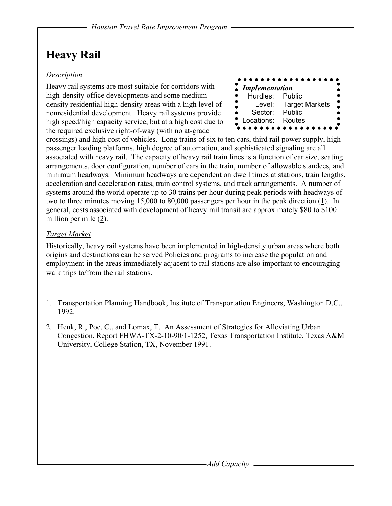# **Heavy Rail**

### *Description*

Heavy rail systems are most suitable for corridors with high-density office developments and some medium density residential high-density areas with a high level of nonresidential development. Heavy rail systems provide high speed/high capacity service, but at a high cost due to the required exclusive right-of-way (with no at-grade

| <b>Implementation</b> | . <b>.</b>            |
|-----------------------|-----------------------|
| Hurdles: Public       |                       |
| ٠<br>Level:           | <b>Target Markets</b> |
| Sector:               | Public                |
| Locations:            | Routes                |
|                       |                       |

crossings) and high cost of vehicles. Long trains of six to ten cars, third rail power supply, high passenger loading platforms, high degree of automation, and sophisticated signaling are all associated with heavy rail. The capacity of heavy rail train lines is a function of car size, seating arrangements, door configuration, number of cars in the train, number of allowable standees, and minimum headways. Minimum headways are dependent on dwell times at stations, train lengths, acceleration and deceleration rates, train control systems, and track arrangements. A number of systems around the world operate up to 30 trains per hour during peak periods with headways of two to three minutes moving 15,000 to 80,000 passengers per hour in the peak direction (1). In general, costs associated with development of heavy rail transit are approximately \$80 to \$100 million per mile (2).

### *Target Market*

Historically, heavy rail systems have been implemented in high-density urban areas where both origins and destinations can be served Policies and programs to increase the population and employment in the areas immediately adjacent to rail stations are also important to encouraging walk trips to/from the rail stations.

- 1. Transportation Planning Handbook, Institute of Transportation Engineers, Washington D.C., 1992.
- 2. Henk, R., Poe, C., and Lomax, T. An Assessment of Strategies for Alleviating Urban Congestion, Report FHWA-TX-2-10-90/1-1252, Texas Transportation Institute, Texas A&M University, College Station, TX, November 1991.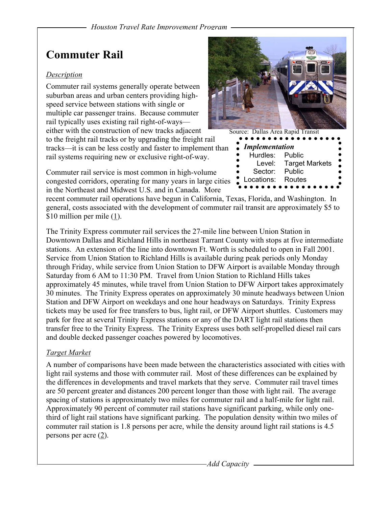## **Commuter Rail**

#### *Description*

Commuter rail systems generally operate between suburban areas and urban centers providing highspeed service between stations with single or multiple car passenger trains. Because commuter rail typically uses existing rail right-of-ways either with the construction of new tracks adjacent

to the freight rail tracks or by upgrading the freight rail tracks—it is can be less costly and faster to implement than rail systems requiring new or exclusive right-of-way.

Commuter rail service is most common in high-volume congested corridors, operating for many years in large cities in the Northeast and Midwest U.S. and in Canada. More

recent commuter rail operations have begun in California, Texas, Florida, and Washington. In general, costs associated with the development of commuter rail transit are approximately \$5 to \$10 million per mile (1).

The Trinity Express commuter rail services the 27-mile line between Union Station in Downtown Dallas and Richland Hills in northeast Tarrant County with stops at five intermediate stations. An extension of the line into downtown Ft. Worth is scheduled to open in Fall 2001. Service from Union Station to Richland Hills is available during peak periods only Monday through Friday, while service from Union Station to DFW Airport is available Monday through Saturday from 6 AM to 11:30 PM. Travel from Union Station to Richland Hills takes approximately 45 minutes, while travel from Union Station to DFW Airport takes approximately 30 minutes. The Trinity Express operates on approximately 30 minute headways between Union Station and DFW Airport on weekdays and one hour headways on Saturdays. Trinity Express tickets may be used for free transfers to bus, light rail, or DFW Airport shuttles. Customers may park for free at several Trinity Express stations or any of the DART light rail stations then transfer free to the Trinity Express. The Trinity Express uses both self-propelled diesel rail cars and double decked passenger coaches powered by locomotives.

### *Target Market*

A number of comparisons have been made between the characteristics associated with cities with light rail systems and those with commuter rail. Most of these differences can be explained by the differences in developments and travel markets that they serve. Commuter rail travel times are 50 percent greater and distances 200 percent longer than those with light rail. The average spacing of stations is approximately two miles for commuter rail and a half-mile for light rail. Approximately 90 percent of commuter rail stations have significant parking, while only onethird of light rail stations have significant parking. The population density within two miles of commuter rail station is 1.8 persons per acre, while the density around light rail stations is 4.5 persons per acre (2).



| Source: Dallas Area Rapid Transit |                       |   |
|-----------------------------------|-----------------------|---|
| <b>Implementation</b>             |                       |   |
| Hurdles:                          | Public                |   |
| Level:                            | <b>Target Markets</b> | υ |
| Sector:                           | Public                |   |
| Locations:                        | Routes                |   |
|                                   |                       |   |